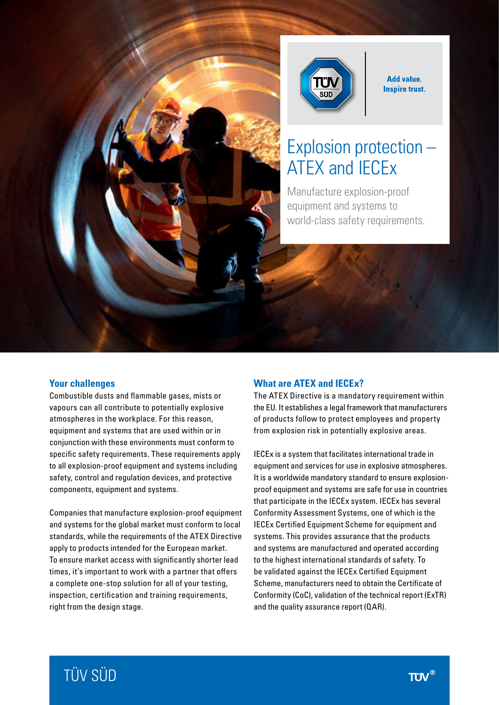



**Add value. Inspire trust.** 

# Explosion protection – ATEX and IECEx

Manufacture explosion-proof equipment and systems to world-class safety requirements.

#### **Your challenges**

Combustible dusts and flammable gases, mists or vapours can all contribute to potentially explosive atmospheres in the workplace. For this reason, equipment and systems that are used within or in conjunction with these environments must conform to specific safety requirements. These requirements apply to all explosion-proof equipment and systems including safety, control and regulation devices, and protective components, equipment and systems.

Companies that manufacture explosion-proof equipment and systems for the global market must conform to local standards, while the requirements of the ATEX Directive apply to products intended for the European market. To ensure market access with significantly shorter lead times, it's important to work with a partner that offers a complete one-stop solution for all of your testing, inspection, certification and training requirements, right from the design stage.

#### **What are ATEX and IECEx?**

The ATEX Directive is a mandatory requirement within the EU. It establishes a legal framework that manufacturers of products follow to protect employees and property from explosion risk in potentially explosive areas.

IECEx is a system that facilitates international trade in equipment and services for use in explosive atmospheres. It is a worldwide mandatory standard to ensure explosionproof equipment and systems are safe for use in countries that participate in the IECEx system. IECEx has several Conformity Assessment Systems, one of which is the IECEx Certified Equipment Scheme for equipment and systems. This provides assurance that the products and systems are manufactured and operated according to the highest international standards of safety. To be validated against the IECEx Certified Equipment Scheme, manufacturers need to obtain the Certificate of Conformity (CoC), validation of the technical report (ExTR) and the quality assurance report (QAR).

## Company name Company address TÜV SÜD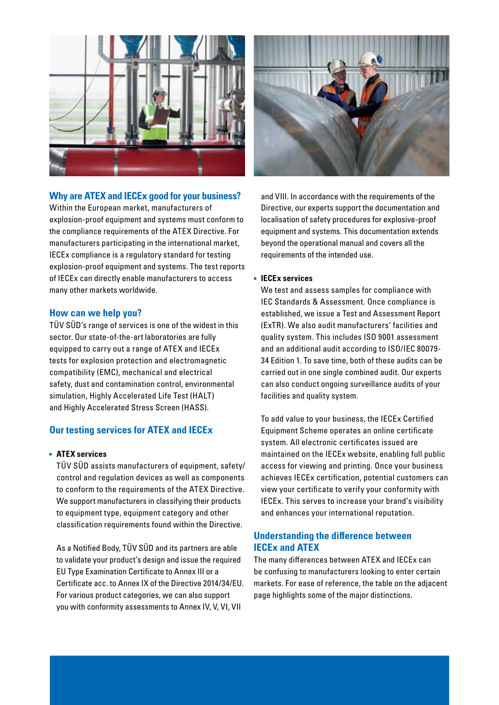

#### **Why are ATEX and IECEx good for your business?**

Within the European market, manufacturers of explosion-proof equipment and systems must conform to the compliance requirements of the ATEX Directive. For manufacturers participating in the international market, IECEx compliance is a regulatory standard for testing explosion-proof equipment and systems. The test reports of IECEx can directly enable manufacturers to access many other markets worldwide.

#### **How can we help you?**

TÜV SÜD's range of services is one of the widest in this sector. Our state-of-the-art laboratories are fully equipped to carry out a range of ATEX and IECEx tests for explosion protection and electromagnetic compatibility (EMC), mechanical and electrical safety, dust and contamination control, environmental simulation, Highly Accelerated Life Test (HALT) and Highly Accelerated Stress Screen (HASS).

#### **Our testing services for ATEX and IECEx**

#### **ATEX services**

TÜV SÜD assists manufacturers of equipment, safety/ control and regulation devices as well as components to conform to the requirements of the ATEX Directive. We support manufacturers in classifying their products to equipment type, equipment category and other classification requirements found within the Directive.

As a Notified Body, TÜV SÜD and its partners are able to validate your product's design and issue the required EU Type Examination Certificate to Annex III or a Certificate acc. to Annex IX of the Directive 2014/34/EU. For various product categories, we can also support you with conformity assessments to Annex IV, V, VI, VII



and VIII. In accordance with the requirements of the Directive, our experts support the documentation and localisation of safety procedures for explosive-proof equipment and systems. This documentation extends beyond the operational manual and covers all the requirements of the intended use.

#### **IECEx services**

We test and assess samples for compliance with IEC Standards & Assessment. Once compliance is established, we issue a Test and Assessment Report (ExTR). We also audit manufacturers' facilities and quality system. This includes ISO 9001 assessment and an additional audit according to ISO/IEC 80079- 34 Edition 1. To save time, both of these audits can be carried out in one single combined audit. Our experts can also conduct ongoing surveillance audits of your facilities and quality system.

To add value to your business, the IECEx Certified Equipment Scheme operates an online certificate system. All electronic certificates issued are maintained on the IECEx website, enabling full public access for viewing and printing. Once your business achieves IECEx certification, potential customers can view your certificate to verify your conformity with IECEx. This serves to increase your brand's visibility and enhances your international reputation.

## **Understanding the difference between IECEx and ATEX**

The many differences between ATEX and IECEx can be confusing to manufacturers looking to enter certain markets. For ease of reference, the table on the adjacent page highlights some of the major distinctions.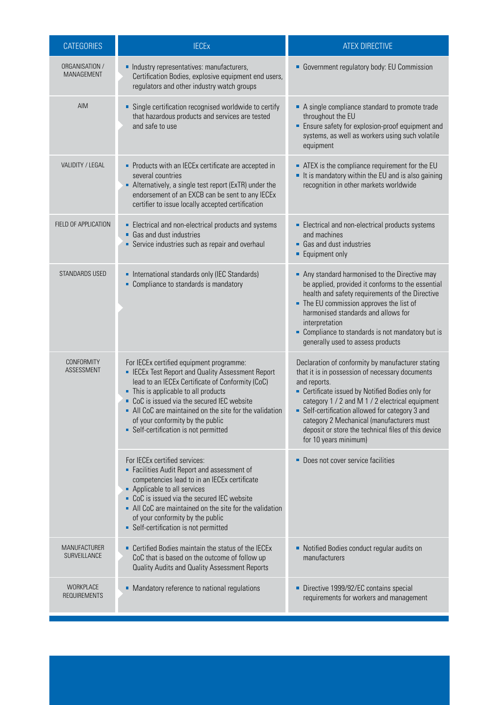| <b>CATEGORIES</b>                       | <b>IECEx</b>                                                                                                                                                                                                                                                                                                                                                                       | <b>ATEX DIRECTIVE</b>                                                                                                                                                                                                                                                                                                                                                                                       |
|-----------------------------------------|------------------------------------------------------------------------------------------------------------------------------------------------------------------------------------------------------------------------------------------------------------------------------------------------------------------------------------------------------------------------------------|-------------------------------------------------------------------------------------------------------------------------------------------------------------------------------------------------------------------------------------------------------------------------------------------------------------------------------------------------------------------------------------------------------------|
| ORGANISATION /<br>MANAGEMENT            | Industry representatives: manufacturers,<br>Certification Bodies, explosive equipment end users,<br>regulators and other industry watch groups                                                                                                                                                                                                                                     | Government regulatory body: EU Commission                                                                                                                                                                                                                                                                                                                                                                   |
| AIM                                     | Single certification recognised worldwide to certify<br>that hazardous products and services are tested<br>and safe to use                                                                                                                                                                                                                                                         | A single compliance standard to promote trade<br>throughout the EU<br>Ensure safety for explosion-proof equipment and<br>systems, as well as workers using such volatile<br>equipment                                                                                                                                                                                                                       |
| VALIDITY / LEGAL                        | Products with an IECEx certificate are accepted in<br>several countries<br>Alternatively, a single test report (ExTR) under the<br>endorsement of an EXCB can be sent to any IECEx<br>certifier to issue locally accepted certification                                                                                                                                            | ATEX is the compliance requirement for the EU<br>It is mandatory within the EU and is also gaining<br>recognition in other markets worldwide                                                                                                                                                                                                                                                                |
| FIELD OF APPLICATION                    | Electrical and non-electrical products and systems<br>• Gas and dust industries<br>Service industries such as repair and overhaul                                                                                                                                                                                                                                                  | Electrical and non-electrical products systems<br>and machines<br>Gas and dust industries<br><b>Equipment only</b>                                                                                                                                                                                                                                                                                          |
| STANDARDS USED                          | International standards only (IEC Standards)<br>• Compliance to standards is mandatory                                                                                                                                                                                                                                                                                             | Any standard harmonised to the Directive may<br>be applied, provided it conforms to the essential<br>health and safety requirements of the Directive<br>• The EU commission approves the list of<br>harmonised standards and allows for<br>interpretation<br>• Compliance to standards is not mandatory but is<br>generally used to assess products                                                         |
| <b>CONFORMITY</b><br>ASSESSMENT         | For IECEx certified equipment programme:<br><b>ELECEX Test Report and Quality Assessment Report</b><br>lead to an IECEx Certificate of Conformity (CoC)<br>• This is applicable to all products<br>CoC is issued via the secured IEC website<br>All CoC are maintained on the site for the validation<br>of your conformity by the public<br>• Self-certification is not permitted | Declaration of conformity by manufacturer stating<br>that it is in possession of necessary documents<br>and reports.<br>• Certificate issued by Notified Bodies only for<br>category 1 / 2 and M 1 / 2 electrical equipment<br>• Self-certification allowed for category 3 and<br>category 2 Mechanical (manufacturers must<br>deposit or store the technical files of this device<br>for 10 years minimum) |
|                                         | For IECEx certified services:<br>Facilities Audit Report and assessment of<br>competencies lead to in an IECEx certificate<br>Applicable to all services<br>• CoC is issued via the secured IEC website<br>All CoC are maintained on the site for the validation<br>of your conformity by the public<br>Self-certification is not permitted                                        | Does not cover service facilities                                                                                                                                                                                                                                                                                                                                                                           |
| <b>MANUFACTURER</b><br>SURVEILLANCE     | • Certified Bodies maintain the status of the IECEx<br>CoC that is based on the outcome of follow up<br>Quality Audits and Quality Assessment Reports                                                                                                                                                                                                                              | • Notified Bodies conduct regular audits on<br>manufacturers                                                                                                                                                                                                                                                                                                                                                |
| <b>WORKPLACE</b><br><b>REQUIREMENTS</b> | • Mandatory reference to national regulations                                                                                                                                                                                                                                                                                                                                      | Directive 1999/92/EC contains special<br>requirements for workers and management                                                                                                                                                                                                                                                                                                                            |